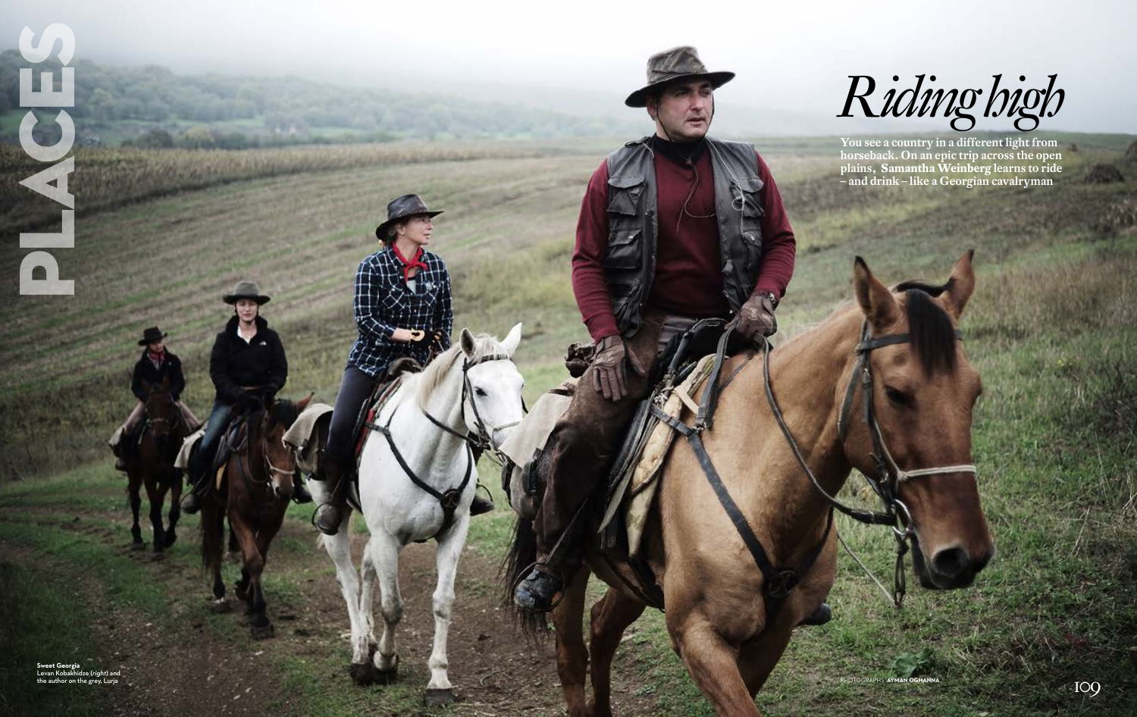

*Riding high* 

**Sweet Georgia** Levan Kobakhidze (*right*) and the author on the grey, Lurja

PLACES<br>PLACES

You see a country in a different light from horseback. On an epic trip across the open plains, **Samantha Weinberg** learns to ride – and drink – like a Georgian cavalryman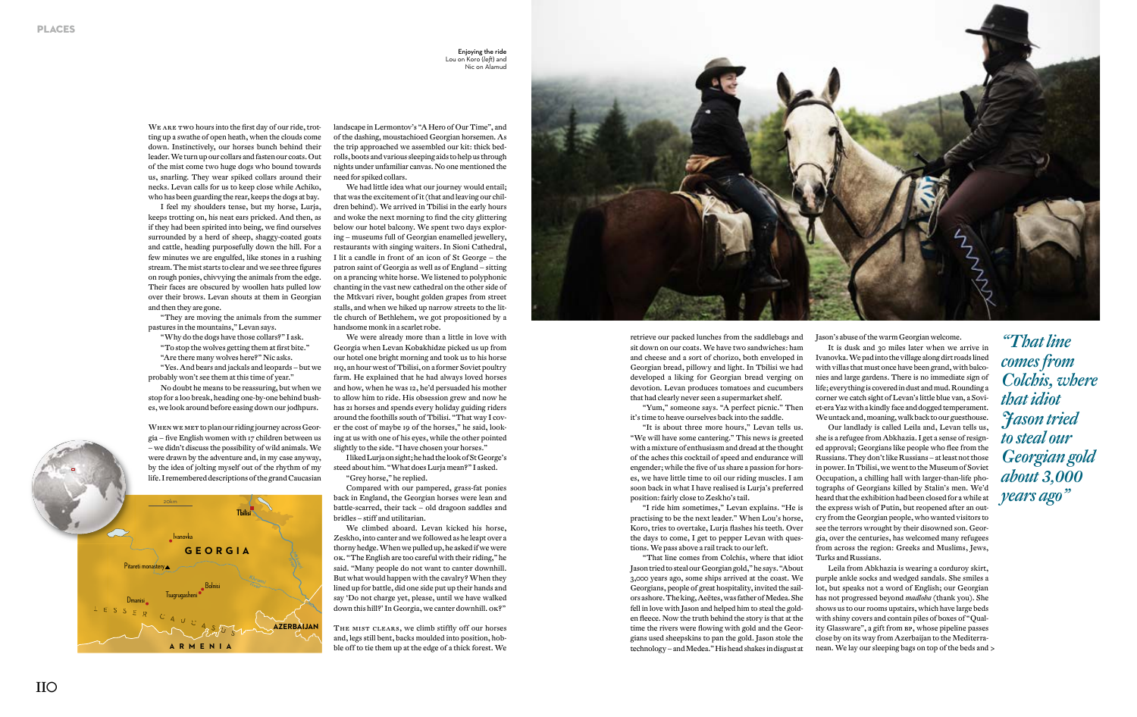

landscape in Lermontov's "A Hero of Our Time", and of the dashing, moustachioed Georgian horsemen. As the trip approached we assembled our kit: thick bedrolls, boots and various sleeping aids to help us through nights under unfamiliar canvas. No one mentioned the need for spiked collars.

We had little idea what our journey would entail; that was the excitement of it (that and leaving our children behind). We arrived in Tbilisi in the early hours and woke the next morning to find the city glittering below our hotel balcony. We spent two days exploring – museums full of Georgian enamelled jewellery, restaurants with singing waiters. In Sioni Cathedral, I lit a candle in front of an icon of St George – the patron saint of Georgia as well as of England – sitting on a prancing white horse. We listened to polyphonic chanting in the vast new cathedral on the other side of the Mtkvari river, bought golden grapes from street stalls, and when we hiked up narrow streets to the little church of Bethlehem, we got propositioned by a handsome monk in a scarlet robe.

THE MIST CLEARS, we climb stiffly off our horses and, legs still bent, backs moulded into position, hobble off to tie them up at the edge of a thick forest. We



We were already more than a little in love with Georgia when Levan Kobakhidze picked us up from our hotel one bright morning and took us to his horse hq, an hour west of Tbilisi, on a former Soviet poultry farm. He explained that he had always loved horses and how, when he was 12, he'd persuaded his mother to allow him to ride. His obsession grew and now he has 21 horses and spends every holiday guiding riders around the foothills south of Tbilisi. "That way I cover the cost of maybe 19 of the horses," he said, looking at us with one of his eyes, while the other pointed slightly to the side. "I have chosen your horses."

I liked Lurja on sight; he had the look of St George's steed about him. "What does Lurja mean?" I asked. "Grey horse," he replied.

Compared with our pampered, grass-fat ponies back in England, the Georgian horses were lean and battle-scarred, their tack – old dragoon saddles and bridles – stiff and utilitarian.

We climbed aboard. Levan kicked his horse, Zeskho, into canter and we followed as he leapt over a thorny hedge. When we pulled up, he asked if we were ok. "The English are too careful with their riding," he said. "Many people do not want to canter downhill. But what would happen with the cavalry? When they lined up for battle, did one side put up their hands and say 'Do not charge yet, please, until we have walked down this hill?' In Georgia, we canter downhill. ok?"

retrieve our packed lunches from the saddlebags and sit down on our coats. We have two sandwiches: ham and cheese and a sort of chorizo, both enveloped in Georgian bread, pillowy and light. In Tbilisi we had developed a liking for Georgian bread verging on devotion. Levan produces tomatoes and cucumbers that had clearly never seen a supermarket shelf.

"Yum," someone says. "A perfect picnic." Then it's time to heave ourselves back into the saddle.

WE ARE TWO hours into the first day of our ride, trotting up a swathe of open heath, when the clouds come down. Instinctively, our horses bunch behind their leader. We turn up our collars and fasten our coats. Out of the mist come two huge dogs who bound towards us, snarling. They wear spiked collars around their necks. Levan calls for us to keep close while Achiko, who has been guarding the rear, keeps the dogs at bay.

> "It is about three more hours," Levan tells us. "We will have some cantering." This news is greeted with a mixture of enthusiasm and dread at the thought of the aches this cocktail of speed and endurance will engender; while the five of us share a passion for horses, we have little time to oil our riding muscles. I am soon back in what I have realised is Lurja's preferred position: fairly close to Zeskho's tail.

> "I ride him sometimes," Levan explains. "He is practising to be the next leader." When Lou's horse, Koro, tries to overtake, Lurja flashes his teeth. Over the days to come, I get to pepper Levan with questions. We pass above a rail track to our left.

Enjoying the ride Lou on Koro (*left*) and Nic on Alamud

Jason's abuse of the warm Georgian welcome.

It is dusk and 30 miles later when we arrive in Ivanovka. We pad into the village along dirt roads lined with villas that must once have been grand, with balconies and large gardens. There is no immediate sign of life; everything is covered in dust and mud. Rounding a corner we catch sight of Levan's little blue van, a Soviet-era Yaz with a kindly face and dogged temperament. We untack and, moaning, walk back to our guesthouse.

Our landlady is called Leila and, Levan tells us, she is a refugee from Abkhazia. I get a sense of resigned approval; Georgians like people who flee from the Russians. They don't like Russians – at least not those in power. In Tbilisi, we went to the Museum of Soviet Occupation, a chilling hall with larger-than-life photographs of Georgians killed by Stalin's men. We'd heard that the exhibition had been closed for a while at the express wish of Putin, but reopened after an outcry from the Georgian people, who wanted visitors to see the terrors wrought by their disowned son. Georgia, over the centuries, has welcomed many refugees from across the region: Greeks and Muslims, Jews,

"That line comes from Colchis, where that idiot Jason tried to steal our Georgian gold," he says. "About 3,000 years ago, some ships arrived at the coast. We Georgians, people of great hospitality, invited the sailors ashore. The king, Aeëtes, was father of Medea. She fell in love with Jason and helped him to steal the golden fleece. Now the truth behind the story is that at the time the rivers were flowing with gold and the Georgians used sheepskins to pan the gold. Jason stole the technology – and Medea." His head shakes in disgust at Turks and Russians. Leila from Abkhazia is wearing a corduroy skirt, purple ankle socks and wedged sandals. She smiles a lot, but speaks not a word of English; our Georgian has not progressed beyond *madloba* (thank you). She shows us to our rooms upstairs, which have large beds with shiny covers and contain piles of boxes of "Quality Glassware", a gift from bp, whose pipeline passes close by on its way from Azerbaijan to the Mediterranean. We lay our sleeping bags on top of the beds and >

*"That line comes from Colchis, where that idiot Jason tried to steal our Georgian gold about 3,000 years ago"*

I feel my shoulders tense, but my horse, Lurja, keeps trotting on, his neat ears pricked. And then, as if they had been spirited into being, we find ourselves surrounded by a herd of sheep, shaggy-coated goats and cattle, heading purposefully down the hill. For a few minutes we are engulfed, like stones in a rushing stream. The mist starts to clear and we see three figures on rough ponies, chivvying the animals from the edge. Their faces are obscured by woollen hats pulled low over their brows. Levan shouts at them in Georgian and then they are gone.

"They are moving the animals from the summer pastures in the mountains," Levan says.

- "Why do the dogs have those collars?" I ask.
- "To stop the wolves getting them at first bite."

"Are there many wolves here?" Nic asks.

"Yes. And bears and jackals and leopards – but we probably won't see them at this time of year."

No doubt he means to be reassuring, but when we stop for a loo break, heading one-by-one behind bushes, we look around before easing down our jodhpurs.

When we met to plan our riding journey across Georgia – five English women with 17 children between us – we didn't discuss the possibility of wild animals. We were drawn by the adventure and, in my case anyway, by the idea of jolting myself out of the rhythm of my life. I remembered descriptions of the grand Caucasian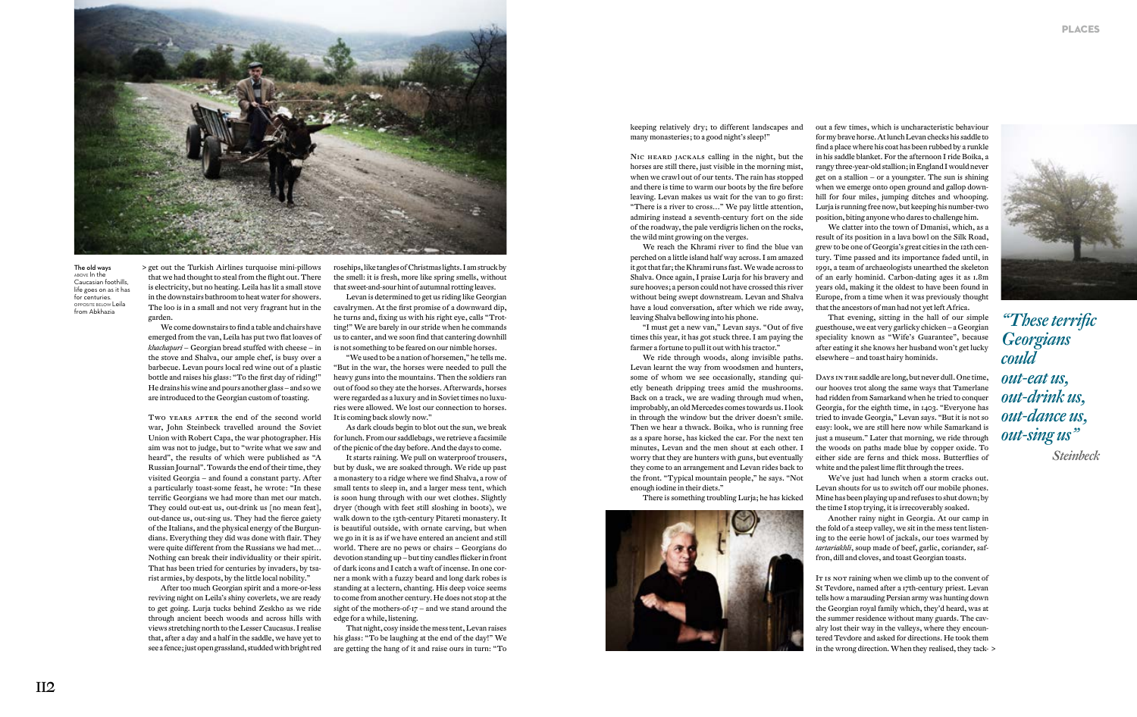

get out the Turkish Airlines turquoise mini-pillows >that we had thought to steal from the flight out. There is electricity, but no heating. Leila has lit a small stove in the downstairs bathroom to heat water for showers. The loo is in a small and not very fragrant hut in the garden.

We come downstairs to find a table and chairs have emerged from the van, Leila has put two flat loaves of *khachapuri* – Georgian bread stuffed with cheese – in the stove and Shalva, our ample chef, is busy over a barbecue. Levan pours local red wine out of a plastic bottle and raises his glass: "To the first day of riding!" He drains his wine and pours another glass – and so we are introduced to the Georgian custom of toasting.

TWO YEARS AFTER the end of the second world war, John Steinbeck travelled around the Soviet Union with Robert Capa, the war photographer. His aim was not to judge, but to "write what we saw and heard", the results of which were published as "A Russian Journal". Towards the end of their time, they visited Georgia – and found a constant party. After a particularly toast-some feast, he wrote: "In these terrific Georgians we had more than met our match. They could out-eat us, out-drink us [no mean feat], out-dance us, out-sing us. They had the fierce gaiety of the Italians, and the physical energy of the Burgundians. Everything they did was done with flair. They were quite different from the Russians we had met… Nothing can break their individuality or their spirit. That has been tried for centuries by invaders, by tsarist armies, by despots, by the little local nobility."

After too much Georgian spirit and a more-or-less reviving night on Leila's shiny coverlets, we are ready to get going. Lurja tucks behind Zeskho as we ride through ancient beech woods and across hills with views stretching north to the Lesser Caucasus. I realise that, after a day and a half in the saddle, we have yet to see a fence; just open grassland, studded with bright red keeping relatively dry; to different landscapes and many monasteries; to a good night's sleep!"

rosehips, like tangles of Christmas lights. I am struck by the smell: it is fresh, more like spring smells, without that sweet-and-sour hint of autumnal rotting leaves.

NIC HEARD JACKALS calling in the night, but the horses are still there, just visible in the morning mist, when we crawl out of our tents. The rain has stopped and there is time to warm our boots by the fire before leaving. Levan makes us wait for the van to go first: "There is a river to cross…" We pay little attention, admiring instead a seventh-century fort on the side of the roadway, the pale verdigris lichen on the rocks, the wild mint growing on the verges.

Levan is determined to get us riding like Georgian cavalrymen. At the first promise of a downward dip, he turns and, fixing us with his right eye, calls "Trotting!" We are barely in our stride when he commands us to canter, and we soon find that cantering downhill is not something to be feared on our nimble horses.

"We used to be a nation of horsemen," he tells me. "But in the war, the horses were needed to pull the heavy guns into the mountains. Then the soldiers ran out of food so they ate the horses. Afterwards, horses were regarded as a luxury and in Soviet times no luxuries were allowed. We lost our connection to horses. It is coming back slowly now."

As dark clouds begin to blot out the sun, we break for lunch. From our saddlebags, we retrieve a facsimile of the picnic of the day before. And the days to come.

It starts raining. We pull on waterproof trousers, but by dusk, we are soaked through. We ride up past a monastery to a ridge where we find Shalva, a row of small tents to sleep in, and a larger mess tent, which is soon hung through with our wet clothes. Slightly dryer (though with feet still sloshing in boots), we walk down to the 13th-century Pitareti monastery. It is beautiful outside, with ornate carving, but when we go in it is as if we have entered an ancient and still world. There are no pews or chairs – Georgians do devotion standing up – but tiny candles flicker in front of dark icons and I catch a waft of incense. In one corner a monk with a fuzzy beard and long dark robes is standing at a lectern, chanting. His deep voice seems to come from another century. He does not stop at the sight of the mothers-of-17 – and we stand around the edge for a while, listening.

That night, cosy inside the mess tent, Levan raises his glass: "To be laughing at the end of the day!" We are getting the hang of it and raise ours in turn: "To It is not raining when we climb up to the convent of St Tevdore, named after a 17th-century priest. Levan tells how a marauding Persian army was hunting down the Georgian royal family which, they'd heard, was at the summer residence without many guards. The cavalry lost their way in the valleys, where they encountered Tevdore and asked for directions. He took them in the wrong direction. When they realised, they tack- >



We reach the Khrami river to find the blue van perched on a little island half way across. I am amazed it got that far; the Khrami runs fast. We wade across to Shalva. Once again, I praise Lurja for his bravery and sure hooves; a person could not have crossed this river without being swept downstream. Levan and Shalva have a loud conversation, after which we ride away, leaving Shalva bellowing into his phone.

"I must get a new van," Levan says. "Out of five times this year, it has got stuck three. I am paying the farmer a fortune to pull it out with his tractor."

We ride through woods, along invisible paths. Levan learnt the way from woodsmen and hunters, some of whom we see occasionally, standing quietly beneath dripping trees amid the mushrooms. Back on a track, we are wading through mud when, improbably, an old Mercedes comes towards us. I look in through the window but the driver doesn't smile. Then we hear a thwack. Boika, who is running free as a spare horse, has kicked the car. For the next ten minutes, Levan and the men shout at each other. I worry that they are hunters with guns, but eventually they come to an arrangement and Levan rides back to the front. "Typical mountain people," he says. "Not enough iodine in their diets."

There is something troubling Lurja; he has kicked



out a few times, which is uncharacteristic behaviour for my brave horse. At lunch Levan checks his saddle to find a place where his coat has been rubbed by a runkle in his saddle blanket. For the afternoon I ride Boika, a rangy three-year-old stallion; in England I would never get on a stallion – or a youngster. The sun is shining when we emerge onto open ground and gallop downhill for four miles, jumping ditches and whooping. Lurja is running free now, but keeping his number-two position, biting anyone who dares to challenge him.

We clatter into the town of Dmanisi, which, as a result of its position in a lava bowl on the Silk Road, grew to be one of Georgia's great cities in the 12th century. Time passed and its importance faded until, in 1991, a team of archaeologists unearthed the skeleton of an early hominid. Carbon-dating ages it as 1.8m years old, making it the oldest to have been found in Europe, from a time when it was previously thought that the ancestors of man had not yet left Africa.

That evening, sitting in the hall of our simple guesthouse, we eat very garlicky chicken – a Georgian speciality known as "Wife's Guarantee", because after eating it she knows her husband won't get lucky elsewhere – and toast hairy hominids.

Days in the saddle are long, but never dull. One time, our hooves trot along the same ways that Tamerlane had ridden from Samarkand when he tried to conquer Georgia, for the eighth time, in 1403. "Everyone has tried to invade Georgia," Levan says. "But it is not so easy: look, we are still here now while Samarkand is just a museum." Later that morning, we ride through the woods on paths made blue by copper oxide. To either side are ferns and thick moss. Butterflies of white and the palest lime flit through the trees.

We've just had lunch when a storm cracks out. Levan shouts for us to switch off our mobile phones. Mine has been playing up and refuses to shut down; by the time I stop trying, it is irrecoverably soaked.

Another rainy night in Georgia. At our camp in the fold of a steep valley, we sit in the mess tent listening to the eerie howl of jackals, our toes warmed by *tartariakhli*, soup made of beef, garlic, coriander, saffron, dill and cloves, and toast Georgian toasts.

*"These terrific Georgians could out-eat us, out-drink us, out-dance us, out-sing us" Steinbeck*



The old ways ABOVE In the Caucasian foothills, life goes on as it has for centuries. OPPOSITE BELOW Leila from Abkhazia